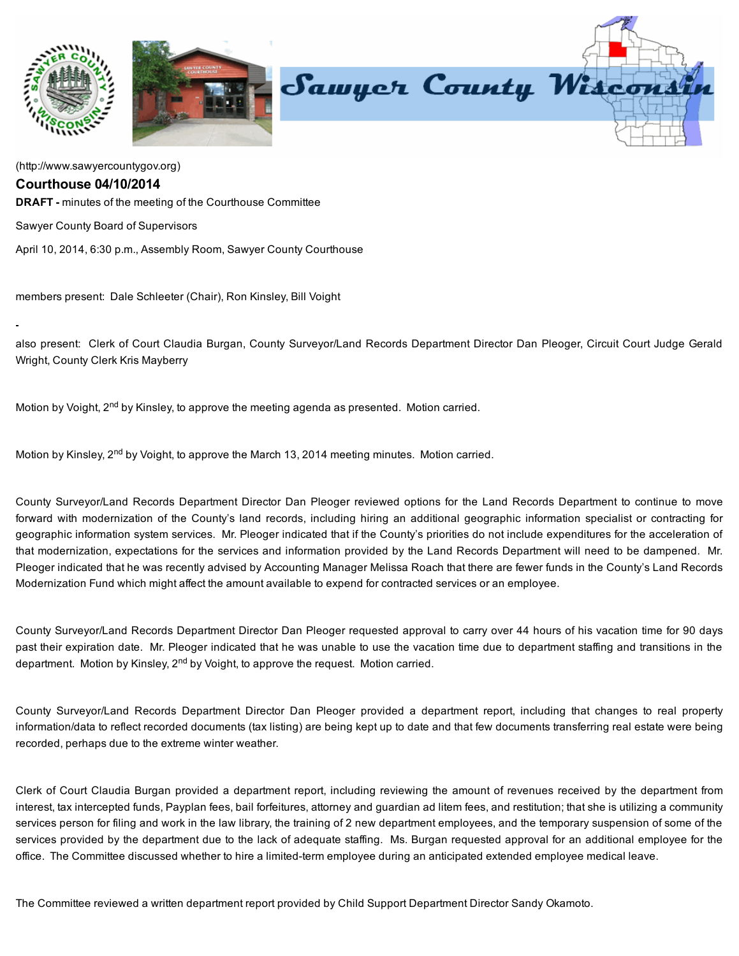

[\(http://www.sawyercountygov.org\)](http://www.sawyercountygov.org/)

## Courthouse 04/10/2014

**DRAFT** - minutes of the meeting of the Courthouse Committee

Sawyer County Board of Supervisors

April 10, 2014, 6:30 p.m., Assembly Room, Sawyer County Courthouse

members present: Dale Schleeter (Chair), Ron Kinsley, Bill Voight

also present: Clerk of Court Claudia Burgan, County Surveyor/Land Records Department Director Dan Pleoger, Circuit Court Judge Gerald Wright, County Clerk Kris Mayberry

Motion by Voight, 2<sup>nd</sup> by Kinsley, to approve the meeting agenda as presented. Motion carried.

Motion by Kinsley, 2<sup>nd</sup> by Voight, to approve the March 13, 2014 meeting minutes. Motion carried.

County Surveyor/Land Records Department Director Dan Pleoger reviewed options for the Land Records Department to continue to move forward with modernization of the County's land records, including hiring an additional geographic information specialist or contracting for geographic information system services. Mr. Pleoger indicated that if the County's priorities do not include expenditures for the acceleration of that modernization, expectations for the services and information provided by the Land Records Department will need to be dampened. Mr. Pleoger indicated that he was recently advised by Accounting Manager Melissa Roach that there are fewer funds in the County's Land Records Modernization Fund which might affect the amount available to expend for contracted services or an employee.

County Surveyor/Land Records Department Director Dan Pleoger requested approval to carry over 44 hours of his vacation time for 90 days past their expiration date. Mr. Pleoger indicated that he was unable to use the vacation time due to department staffing and transitions in the department. Motion by Kinsley, 2<sup>nd</sup> by Voight, to approve the request. Motion carried.

County Surveyor/Land Records Department Director Dan Pleoger provided a department report, including that changes to real property information/data to reflect recorded documents (tax listing) are being kept up to date and that few documents transferring real estate were being recorded, perhaps due to the extreme winter weather.

Clerk of Court Claudia Burgan provided a department report, including reviewing the amount of revenues received by the department from interest, tax intercepted funds, Payplan fees, bail forfeitures, attorney and guardian ad litem fees, and restitution; that she is utilizing a community services person for filing and work in the law library, the training of 2 new department employees, and the temporary suspension of some of the services provided by the department due to the lack of adequate staffing. Ms. Burgan requested approval for an additional employee for the office. The Committee discussed whether to hire a limited-term employee during an anticipated extended employee medical leave.

The Committee reviewed a written department report provided by Child Support Department Director Sandy Okamoto.